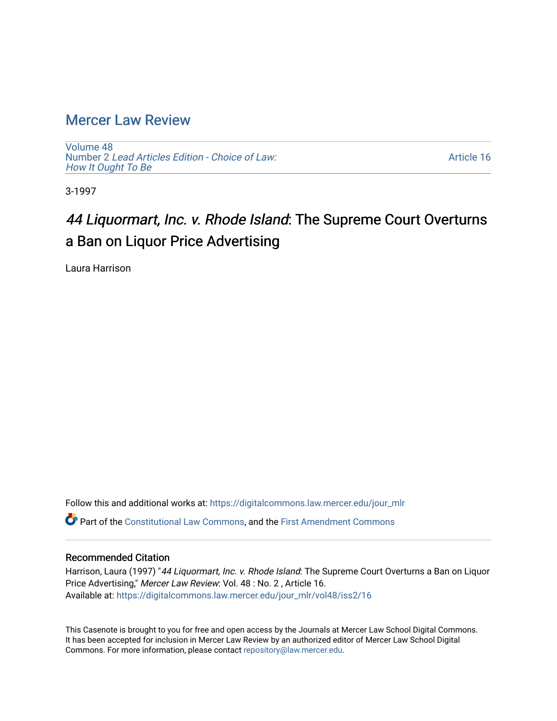## [Mercer Law Review](https://digitalcommons.law.mercer.edu/jour_mlr)

[Volume 48](https://digitalcommons.law.mercer.edu/jour_mlr/vol48) Number 2 [Lead Articles Edition - Choice of Law:](https://digitalcommons.law.mercer.edu/jour_mlr/vol48/iss2)  [How It Ought To Be](https://digitalcommons.law.mercer.edu/jour_mlr/vol48/iss2)

[Article 16](https://digitalcommons.law.mercer.edu/jour_mlr/vol48/iss2/16) 

3-1997

# 44 Liquormart, Inc. v. Rhode Island: The Supreme Court Overturns a Ban on Liquor Price Advertising

Laura Harrison

Follow this and additional works at: [https://digitalcommons.law.mercer.edu/jour\\_mlr](https://digitalcommons.law.mercer.edu/jour_mlr?utm_source=digitalcommons.law.mercer.edu%2Fjour_mlr%2Fvol48%2Fiss2%2F16&utm_medium=PDF&utm_campaign=PDFCoverPages) Part of the [Constitutional Law Commons,](http://network.bepress.com/hgg/discipline/589?utm_source=digitalcommons.law.mercer.edu%2Fjour_mlr%2Fvol48%2Fiss2%2F16&utm_medium=PDF&utm_campaign=PDFCoverPages) and the [First Amendment Commons](http://network.bepress.com/hgg/discipline/1115?utm_source=digitalcommons.law.mercer.edu%2Fjour_mlr%2Fvol48%2Fiss2%2F16&utm_medium=PDF&utm_campaign=PDFCoverPages)

### Recommended Citation

Harrison, Laura (1997) "44 Liquormart, Inc. v. Rhode Island: The Supreme Court Overturns a Ban on Liquor Price Advertising," Mercer Law Review: Vol. 48 : No. 2 , Article 16. Available at: [https://digitalcommons.law.mercer.edu/jour\\_mlr/vol48/iss2/16](https://digitalcommons.law.mercer.edu/jour_mlr/vol48/iss2/16?utm_source=digitalcommons.law.mercer.edu%2Fjour_mlr%2Fvol48%2Fiss2%2F16&utm_medium=PDF&utm_campaign=PDFCoverPages) 

This Casenote is brought to you for free and open access by the Journals at Mercer Law School Digital Commons. It has been accepted for inclusion in Mercer Law Review by an authorized editor of Mercer Law School Digital Commons. For more information, please contact [repository@law.mercer.edu.](mailto:repository@law.mercer.edu)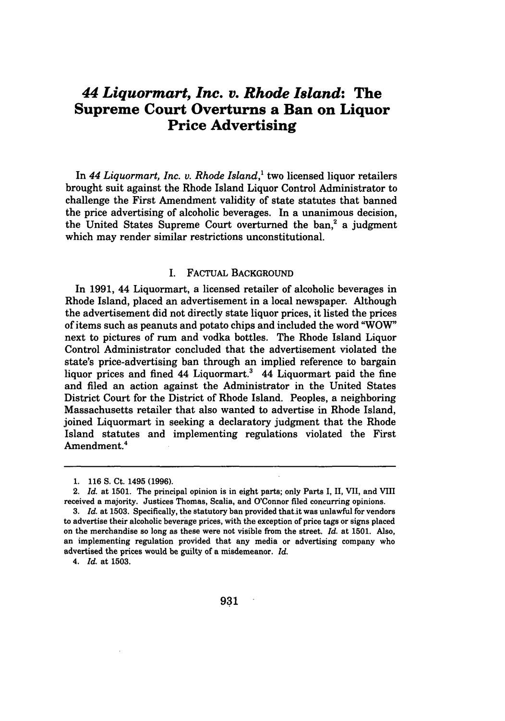## *44 Liquormart, Inc. v. Rhode Island:* **The Supreme Court Overturns a Ban on Liquor Price Advertising**

In 44 Liquormart, Inc. v. Rhode Island,<sup>1</sup> two licensed liquor retailers brought suit against the Rhode Island Liquor Control Administrator to challenge the First Amendment validity of state statutes that banned the price advertising of alcoholic beverages. In a unanimous decision, the United States Supreme Court overturned the ban,<sup>2</sup> a judgment which may render similar restrictions unconstitutional.

#### I. FACTUAL BACKGROUND

In **1991,** 44 Liquormart, a licensed retailer of alcoholic beverages in Rhode Island, placed an advertisement in a local newspaper. Although the advertisement did not directly state liquor prices, it listed the prices of items such as peanuts and potato chips and included the word "WOW" next to pictures of rum and vodka bottles. The Rhode Island Liquor Control Administrator concluded that the advertisement violated the state's price-advertising ban through an implied reference to bargain liquor prices and fined  $44$  Liquormart.<sup>3</sup> 44 Liquormart paid the fine and filed an action against the Administrator in the United States District Court for the District of Rhode Island. Peoples, a neighboring Massachusetts retailer that also wanted to advertise in Rhode Island, joined Liquormart in seeking a declaratory judgment that the Rhode Island statutes and implementing regulations violated the First Amendment.<sup>4</sup>

4. *Id.* at **1503.**

<sup>1.</sup> **116 S.** Ct. 1495 **(1996).**

<sup>2.</sup> *Id.* at **1501.** The principal opinion is in eight parts; only Parts **I, II,** VII, and VIII received a majority. Justices Thomas, Scalia, and O'Connor filed concurring opinions.

**<sup>3.</sup>** *Id.* at **1503.** Specifically, the statutory ban provided that.it was unlawful for vendors to advertise their alcoholic beverage prices, with the exception of price tags or signs placed on the merchandise so long as these were not visible from the street. *Id.* at **1501.** Also, an implementing regulation provided that any media or advertising company who advertised the prices would be guilty of a misdemeanor. *Id.*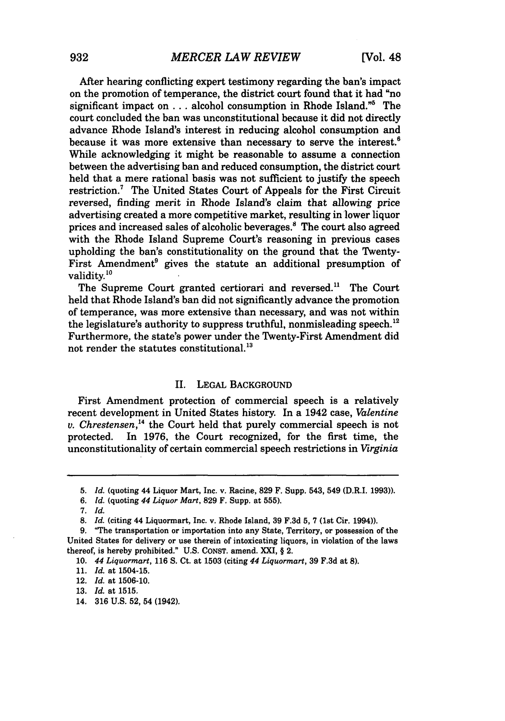After hearing conflicting expert testimony regarding the ban's impact on the promotion of temperance, the district court found that it had "no significant impact on ... alcohol consumption in Rhode Island."<sup>5</sup> The court concluded the ban was unconstitutional because it did not directly advance Rhode Island's interest in reducing alcohol consumption and because it was more extensive than necessary to serve the interest.<sup>6</sup> While acknowledging it might be reasonable to assume a connection between the advertising ban and reduced consumption, the district court held that a mere rational basis was not sufficient to justify the speech restriction.7 The United States Court of Appeals for the First Circuit reversed, finding merit in Rhode Island's claim that allowing price advertising created a more competitive market, resulting in lower liquor prices and increased sales of alcoholic beverages.' The court also agreed with the Rhode Island Supreme Court's reasoning in previous cases upholding the ban's constitutionality on the ground that the Twenty-First Amendment' gives the statute an additional presumption of validity.<sup>10</sup>

The Supreme Court granted certiorari and reversed.<sup>11</sup> The Court held that Rhode Island's ban did not significantly advance the promotion of temperance, was more extensive than necessary, and was not within the legislature's authority to suppress truthful, nonmisleading speech.<sup>12</sup> Furthermore, the state's power under the Twenty-First Amendment did not render the statutes constitutional.<sup>13</sup>

#### II. LEGAL BACKGROUND

First Amendment protection of commercial speech is a relatively recent development in United States history. In a 1942 case, *Valentine*  $v.$  Chrestensen,<sup>14</sup> the Court held that purely commercial speech is not protected. In 1976, the Court recognized, for the first time, the unconstitutionality of certain commercial speech restrictions in *Virginia*

*<sup>5.</sup> Id.* (quoting 44 Liquor Mart, Inc. v. Racine, **829** F. Supp. 543, 549 (D.R.I. **1993)).**

<sup>6.</sup> *Id.* (quoting *44 Liquor Mart,* **829** F. Supp. at **555).**

<sup>7.</sup> *Id.*

<sup>8.</sup> *Id.* **(citing** 44 Liquormart, Inc. v. Rhode Island, **39** F.3d **5, 7** (1st Cir. 1994)).

<sup>9. &</sup>quot;The transportation or importation into any State, Territory, or possession of the United States for delivery or use therein of intoxicating liquors, in violation of the laws thereof, is hereby prohibited." U.S. CONST. amend. XXI, § 2.

<sup>10.</sup> *44 Liquormart,* 116 **S.** Ct. at 1503 (citing *44 Liquormart,* 39 F.3d at **8).**

**<sup>11.</sup>** *Id.* at 1504-15.

<sup>12.</sup> *Id.* at 1506-10.

**<sup>13.</sup>** *Id.* at 1515.

<sup>14. 316</sup> U.S. 52, 54 (1942).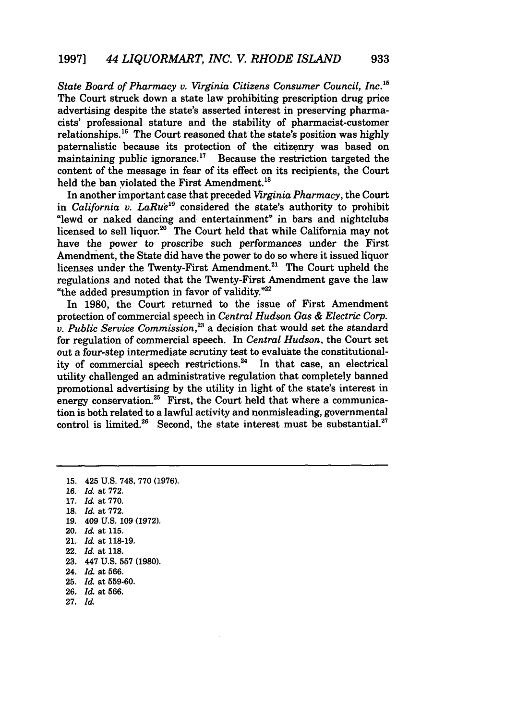*State Board of Pharmacy v. Virginia Citizens Consumer Council, Inc. <sup>5</sup>* The Court struck down a state law prohibiting prescription drug price advertising despite the state's asserted interest in preserving pharmacists' professional stature and the stability of pharmacist-customer relationships.<sup>16</sup> The Court reasoned that the state's position was highly paternalistic because its protection of the citizenry was based on maintaining public ignorance. $17$  Because the restriction targeted the content of the message in fear of its effect on its recipients, the Court held the ban violated the First Amendment.<sup>18</sup>

In another important case that preceded *Virginia Pharmacy,* the Court in *California v. LaRue*<sup>19</sup> considered the state's authority to prohibit "lewd or naked dancing and entertainment" in bars and nightclubs licensed to sell liquor.<sup>20</sup> The Court held that while California may not have the power to proscribe such performances under the First Amendment, the State did have the power to do so where it issued liquor licenses under the Twenty-First Amendment.<sup>21</sup> The Court upheld the regulations and noted that the Twenty-First Amendment gave the law "the added presumption in favor of validity."22

In 1980, the Court returned to the issue of First Amendment protection of commercial speech in *Central Hudson Gas & Electric Corp. v. Public Service Commission,2* a decision that would set the standard for regulation of commercial speech. In *Central Hudson,* the Court set out a four-step intermediate scrutiny test to evaluate the constitutionality of commercial speech restrictions.<sup>24</sup> In that case, an electrical utility challenged an administrative regulation that completely banned promotional advertising by the utility in light of the state's interest in energy conservation.<sup>25</sup> First, the Court held that where a communication is both related to a lawful activity and nonmisleading, governmental control is limited.<sup>26</sup> Second, the state interest must be substantial.<sup>27</sup>

- **19.** 409 **U.S. 109 (1972).**
- 20. *Id.* at 115.
- 21. *Id.* at 118-19.
- 22. *Id.* at 118.
- 23. 447 U.S. 557 **(1980).**
- 24. *Id.* at **566.**
- **25.** *Id.* at **559-60.**
- 26. *Id.* at 566.
- *27. Id.*

**<sup>15.</sup>** 425 U.S. 748, 770 (1976).

**<sup>16.</sup>** *Id.* at 772.

<sup>17.</sup> *Id.* at 770.

<sup>18.</sup> *Id.* at 772.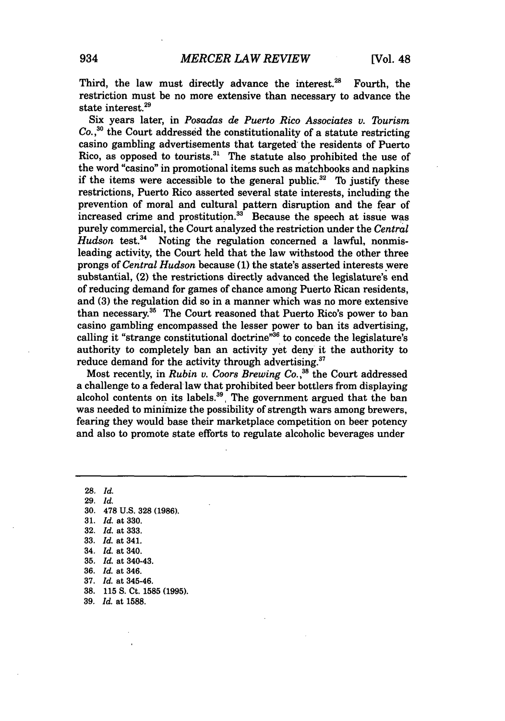Third, the law must directly advance the interest. $28$  Fourth, the restriction must be no more extensive than necessary to advance the state interest.<sup>29</sup>

Six years later, in *Posadas de Puerto Rico Associates* **v.** *Tourism Co.,30* the Court addressed the constitutionality of a statute restricting casino gambling advertisements that targeted the residents of Puerto Rico, as opposed to tourists. $31$  The statute also prohibited the use of the word "casino" in promotional items such as matchbooks and napkins if the items were accessible to the general public.<sup>32</sup> To justify these restrictions, Puerto Rico asserted several state interests, including the prevention of moral and cultural pattern disruption and the fear of increased crime and prostitution.<sup>33</sup> Because the speech at issue was purely commercial, the Court analyzed the restriction under the *Central* Hudson test.<sup>34</sup> Noting the regulation concerned a lawful, nonmisleading activity, the Court held that the law withstood the other three prongs of *Central Hudson* because **(1)** the state's asserted interests were substantial, (2) the restrictions directly advanced the legislature's end of reducing demand for games of chance among Puerto Rican residents, and **(3)** the regulation did so in a manner which was no more extensive than necessary.<sup>35</sup> The Court reasoned that Puerto Rico's power to ban casino gambling encompassed the lesser power to ban its advertising, calling it "strange constitutional doctrine"<sup>36</sup> to concede the legislature's authority to completely ban an activity yet deny it the authority to reduce demand for the activity through advertising.<sup>37</sup>

Most recently, in *Rubin v. Coors Brewing Co. 38* the Court addressed a challenge to a federal law that prohibited beer bottlers from displaying alcohol contents on its labels.<sup>39</sup>. The government argued that the ban was needed to minimize the possibility of strength wars among brewers, fearing they would base their marketplace competition on beer potency and also to promote state efforts to regulate alcoholic beverages under

**28.** *Id.* 29. *Id.* **30. 478 U.S. 328** (1986). 31. *Id.* at 330. **32.** *Id.* at 333. **33.** *Id.* at 341. 34. *Id.* at 340. 35. *Id.* at 340-43. 36. *Id.* at 346. 37. *Id.* at 345-46. **38. 115 S.** Ct. **1585 (1995).** 39. *Id.* at **1588.**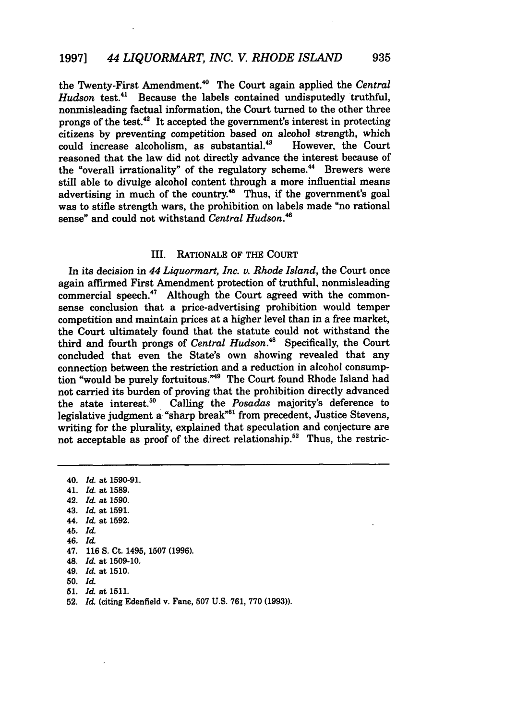the Twenty-First Amendment.4 ' The Court again applied the *Central Hudson* test.<sup>41</sup> Because the labels contained undisputedly truthful, nonmisleading factual information, the Court turned to the other three prongs of the test. $42$  It accepted the government's interest in protecting citizens by preventing competition based on alcohol strength, which could increase alcoholism, as substantial.<sup>43</sup> However, the Court could increase alcoholism, as substantial.<sup>43</sup> reasoned that the law did not directly advance the interest because of the "overall irrationality" of the regulatory scheme.<sup>44</sup> Brewers were still able to divulge alcohol content through a more influential means advertising in much of the country.<sup>45</sup> Thus, if the government's goal was to stifle strength wars, the prohibition on labels made "no rational sense" and could not withstand *Central Hudson.46*

#### III. RATIONALE OF THE COURT

In its decision in *44 Liquormart, Inc. v. Rhode Island,* the Court once again affirmed First Amendment protection of truthful, nonmisleading commercial speech.<sup>47</sup> Although the Court agreed with the commonsense conclusion that a price-advertising prohibition would temper competition and maintain prices at a higher level than in a free market, the Court ultimately found that the statute could not withstand the third and fourth prongs of *Central Hudson*.<sup>48</sup> Specifically, the Court concluded that even the State's own showing revealed that any connection between the restriction and a reduction in alcohol consumption "would be purely fortuitous."49 The Court found Rhode Island had not carried its burden of proving that the prohibition directly advanced the state interest.50 Calling the *Posadas* majority's deference to legislative judgment a "sharp break"<sup>51</sup> from precedent, Justice Stevens, writing for the plurality, explained that speculation and conjecture are not acceptable as proof of the direct relationship.<sup>52</sup> Thus, the restric-

40. *Id.* at 1590-91. 41. *Id.* at 1589. 42. Id. at 1590. 43. *Id.* at 1591. *44. Id.* at 1592. 45. *Id.* 46. *Id.* 47. 116 **S.** Ct. 1495, 1507 (1996). 48. *Id.* at 1509-10. *49. Id.* at 1510. **50.** *Id.* 51. Id at 1511.

52. *Id.* (citing Edenfield v. Fane, 507 U.S. 761, 770 (1993)).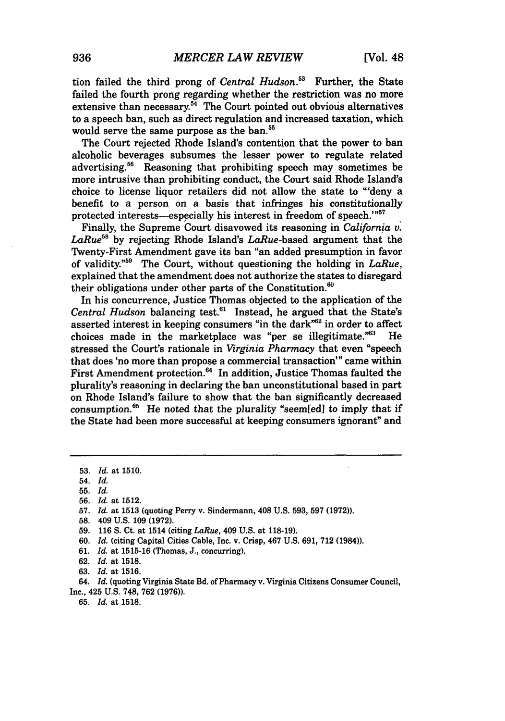tion failed the third prong of *Central Hudson*.<sup>53</sup> Further, the State failed the fourth prong regarding whether the restriction was no more extensive than necessary.<sup>54</sup> The Court pointed out obvious alternatives to a speech ban, such as direct regulation and increased taxation, which would serve the same purpose as the ban.<sup>55</sup>

The Court rejected Rhode Island's contention that the power to ban alcoholic beverages subsumes the lesser power to regulate related advertising.<sup>56</sup> Reasoning that prohibiting speech may sometimes be more intrusive than prohibiting conduct, the Court said Rhode Island's choice to license liquor retailers did not allow the state to "'deny a benefit to a person on a basis that infringes his constitutionally protected interests—especially his interest in freedom of speech."<sup>57</sup>

Finally, the Supreme Court disavowed its reasoning in *California v. LaRue58* by rejecting Rhode Island's LaRue-based argument that the Twenty-First Amendment gave its ban "an added presumption in favor of validity."59 The Court, without questioning the holding in *LaRue,* explained that the amendment does not authorize the states to disregard their obligations under other parts of the Constitution.<sup>60</sup>

In his concurrence, Justice Thomas objected to the application of the *Central Hudson* balancing test.61 Instead, he argued that the State's asserted interest in keeping consumers "in the dark"<sup>62</sup> in order to affect choices made in the marketplace was "per se illegitimate."63 He stressed the Court's rationale in *Virginia Pharmacy* that even "speech that does 'no more than propose a commercial transaction'" came within First Amendment protection.<sup>64</sup> In addition, Justice Thomas faulted the plurality's reasoning in declaring the ban unconstitutional based in part on Rhode Island's failure to show that the ban significantly decreased consumption.<sup>65</sup> He noted that the plurality "seem[ed] to imply that if the State had been more successful at keeping consumers ignorant" and

61. *Id.* at 1515-16 (Thomas, J., concurring).

64. **Id.** (quoting Virginia State **Bd.** of Pharmacy v. Virginia Citizens Consumer Council, Inc., 425 **U.S.** 748, 762 (1976)).

**65.** *Id.* at **1518.**

**<sup>53.</sup>** *Id.* at **1510.**

<sup>54.</sup> *Id.*

**<sup>55.</sup>** *Id.*

<sup>56.</sup> *Id.* at 1512.

<sup>57.</sup> *Id.* at 1513 (quoting Perry v. Sindermann, 408 U.S. 593, 597 **(1972)).**

**<sup>58.</sup>** 409 **U.S.** 109 **(1972).**

<sup>59. 116</sup> S. Ct. at 1514 (citing *LaRue,* 409 U.S. at 118-19).

<sup>60.</sup> *Id.* (citing Capital Cities Cable, Inc. v. Crisp, 467 U.S. 691, 712 (1984)).

<sup>62.</sup> *Id.* at **1518.**

<sup>63.</sup> *Id.* at 1516.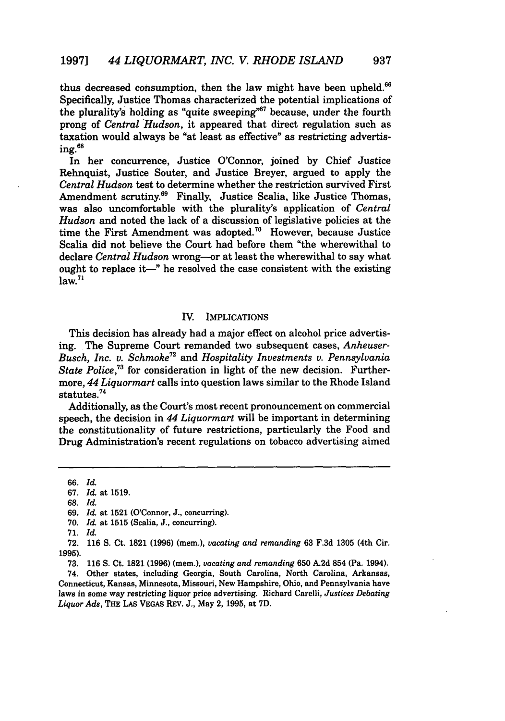thus decreased consumption, then the law might have been upheld.<sup>66</sup> Specifically, Justice Thomas characterized the potential implications of the plurality's holding as "quite sweeping"<sup>67</sup> because, under the fourth prong of *Central Hudson,* it appeared that direct regulation such as taxation would always be "at least as effective" as restricting advertising.68

In her concurrence, Justice O'Connor, joined by Chief Justice Rehnquist, Justice Souter, and Justice Breyer, argued to apply the *Central Hudson* test to determine whether the restriction survived First Amendment scrutiny.<sup>69</sup> Finally, Justice Scalia, like Justice Thomas, was also uncomfortable with the plurality's application of *Central Hudson* and noted the lack of a discussion of legislative policies at the time the First Amendment was adopted.<sup>70</sup> However, because Justice Scalia did not believe the Court had before them "the wherewithal to declare *Central Hudson* wrong--or at least the wherewithal to say what ought to replace it—" he resolved the case consistent with the existing  $law<sup>71</sup>$ 

#### IV. IMPLICATIONS

This decision has already had a major effect on alcohol price advertising. The Supreme Court remanded two subsequent cases, *Anheuser-Busch, Inc. v. Schmoke72* and *Hospitality Investments v. Pennsylvania State Police,73* for consideration in light of the new decision. Furthermore, 44 *Liquormart* calls into question laws similar to the Rhode Island statutes.74

Additionally, as the Court's most recent pronouncement on commercial speech, the decision in *44 Liquormart* will be important in determining the constitutionality of future restrictions, particularly the Food and Drug Administration's recent regulations on tobacco advertising aimed

70. *Id.* at 1515 (Scalia, J., concurring).

74. Other states, including Georgia, South Carolina, North Carolina, Arkansas, Connecticut, Kansas, Minnesota, Missouri, New Hampshire, Ohio, and Pennsylvania have laws in some way restricting liquor price advertising. Richard Carelli, *Justices Debating Liquor Ads,* **THE LAS VEGAS** REV. J., May 2, 1995, at 7D.

**<sup>66.</sup>** *Id.*

<sup>67.</sup> *Id.* at 1519.

<sup>68.</sup> *Id.*

<sup>69.</sup> *Id.* at 1521 (O'Connor, J., concurring).

<sup>71.</sup> *Id.*

<sup>72. 116</sup> S. Ct. 1821 (1996) (mem.), *vacating and remanding* 63 F.3d 1305 (4th Cir. **1995).**

**<sup>73.</sup>** 116 S. Ct. 1821 (1996) (mem.), *vacating and remanding* 650 A.2d 854 (Pa. 1994).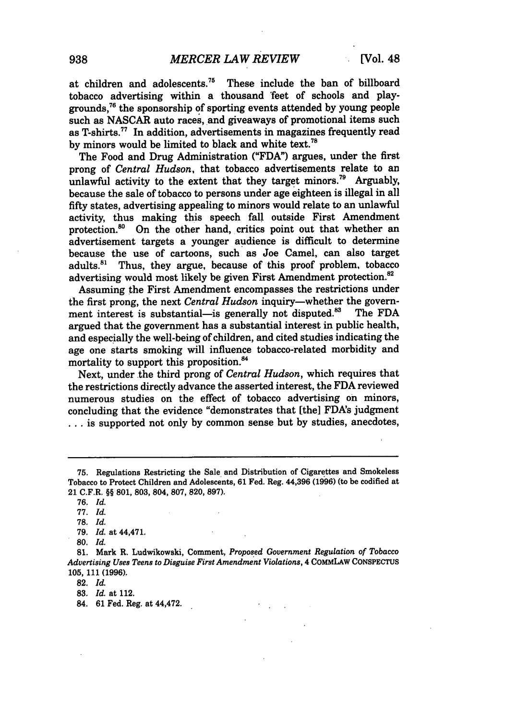at children and adolescents.<sup>75</sup> These include the ban of billboard tobacco advertising within a thousand 'feet of schools and playgrounds,76 the sponsorship **of** sporting events attended **by** young people such as **NASCAR** auto races, and giveaways of promotional items such as T-shirts.<sup>77</sup> In addition, advertisements in magazines frequently read by minors would be limited to black and white text.<sup>78</sup>

The Food and Drug Administration **("FDA")** argues, under the first prong of *Central Hudson,* that tobacco advertisements relate to an unlawful activity to the extent that they target minors.<sup>79</sup> Arguably, because the sale of tobacco to persons under age eighteen is illegal in all fifty states, advertising appealing to minors would relate to an unlawful activity, thus making this speech fall outside First Amendment protection.<sup>80</sup> On the other hand, critics point out that whether an advertisement targets a younger audience is difficult to determine because the use of cartoons, such as Joe Camel, can also target adults.<sup>81</sup> Thus, they argue, because of this proof problem, tobacco advertising would most likely be given First Amendment protection.<sup>82</sup>

Assuming the First Amendment encompasses the restrictions under the first prong, the next *Central Hudson* inquiry—whether the govern-<br>ment interest is substantial—is generally not disputed.<sup>83</sup> The FDA ment interest is substantial-is generally not disputed.<sup>83</sup> argued that the government has a substantial interest in public health, and especially the well-being of children, and cited studies indicating the age one starts smoking will influence tobacco-related morbidity and mortality to support this proposition.<sup>84</sup>

Next, under the third prong of *Central Hudson,* which requires that the restrictions directly advance the asserted interest, the **FDA** reviewed numerous studies on the effect of tobacco advertising on minors, concluding that the evidence "demonstrates that [the] FDA's judgment **...** is supported not only **by** common sense but **by** studies, anecdotes,

**<sup>75.</sup>** Regulations Restricting the Sale and Distribution of Cigarettes and Smokeless Tobacco to Protect Children and Adolescents, **61** Fed. Reg. 44,396 **(1996)** (to be codified at 21 C.F.R. §§ **801, 803,** 804, **807,** 820, **897).**

**<sup>76.</sup>** *Id.*

**<sup>77.</sup>** *Id.*

**<sup>78.</sup>** *Id.*

**<sup>79.</sup>** *Id.* at 44,471.

**<sup>80.</sup>** *Id.*

**<sup>81.</sup>** Mark R. Ludwikowski, Comment, Proposed Government *Regulation of* Tobacco *Advertising Uses Teens to Disguise First Amendment Violations,* 4 COMMLAW CONSPECTUS **105,** 111 **(1996).**

**<sup>82.</sup>** *Id.*

**<sup>83.</sup>** *Id.* at 112.

<sup>84.</sup> **61** Fed. Reg. at 44,472.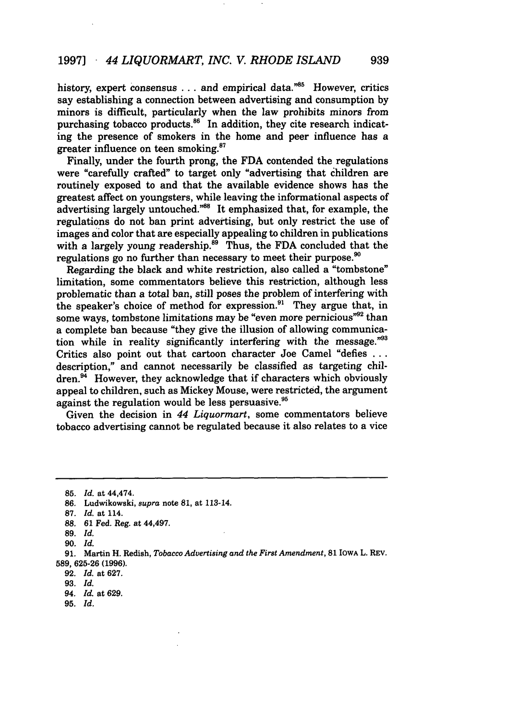#### 1997] *44 LIQUORMART, INC. V. RHODE ISLAND*

history, expert consensus  $\dots$  and empirical data."<sup>85</sup> However, critics say establishing a connection between advertising and consumption by minors is difficult, particularly when the law prohibits minors from purchasing tobacco products.<sup>86</sup> In addition, they cite research indicating the presence of smokers in the home and peer influence has a greater influence on teen smoking. $87$ 

Finally, under the fourth prong, the FDA contended the regulations were "carefully crafted" to target only "advertising that children are routinely exposed to and that the available evidence shows has the greatest affect on youngsters, while leaving the informational aspects of advertising largely untouched."<sup>88</sup> It emphasized that, for example, the regulations do not ban print advertising, but only restrict the use of images and color that are especially appealing to children in publications with a largely young readership. $\frac{89}{10}$  Thus, the FDA concluded that the regulations go no further than necessary to meet their purpose.<sup>90</sup>

Regarding the black and white restriction, also called a "tombstone" limitation, some commentators believe this restriction, although less problematic than a total ban, still poses the problem of interfering with the speaker's choice of method for expression.<sup>91</sup> They argue that, in some ways, tombstone limitations may be "even more pernicious"<sup>92</sup> than a complete ban because "they give the illusion of allowing communication while in reality significantly interfering with the message."<sup>93</sup> Critics also point out that cartoon character Joe Camel "defies **...** description," and cannot necessarily be classified as targeting children.<sup>94</sup> However, they acknowledge that if characters which obviously appeal to children, such as Mickey Mouse, were restricted, the argument against the regulation would be less persuasive.<sup>95</sup>

Given the decision in *44 Liquormart,* some commentators believe tobacco advertising cannot be regulated because it also relates to a vice

**95.** *Id.*

<sup>85.</sup> *Id.* at 44,474.

**<sup>86.</sup>** Ludwikowski, *supra* note 81, at 113-14.

<sup>87.</sup> *Id.* at 114.

**<sup>88.</sup>** 61 Fed. Reg. at 44,497.

<sup>89.</sup> *Id.*

**<sup>90.</sup>** *Id.*

**<sup>91.</sup>** Martin H. Redish, *Tobacco Advertising and the First Amendment,* **81** IOWA L. REV. 589, 625-26 (1996).

<sup>92.</sup> *Id.* at 627.

<sup>93.</sup> *Id.*

<sup>94.</sup> *Id.* at 629.